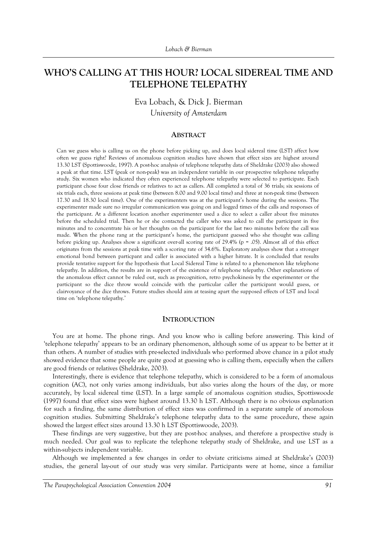# WHO'S CALLING AT THIS HOUR? LOCAL SIDEREAL TIME AND **TELEPHONE TELEPATHY**

Eva Lobach, & Dick J. Bierman *University of Amsterdam* 

## **ABSTRACT**

Can we guess who is calling us on the phone before picking up, and does local sidereal time (LST) affect how often we guess right? Reviews of anomalous cognition studies have shown that effect sizes are highest around 13.30 LST (Spottiswoode, 1997). A post-hoc analysis of telephone telepathy data of Sheldrake (2003) also showed a peak at that time. LST (peak or non-peak) was an independent variable in our prospective telephone telepathy study. Six women who indicated they often experienced telephone telepathy were selected to participate. Each participant chose four close friends or relatives to act as callers. All completed a total of 36 trials; six sessions of six trials each, three sessions at peak time (between 8.00 and 9.00 local time) and three at non-peak time (between 17.30 and 18.30 local time). One of the experimenters was at the participant's home during the sessions. The experimenter made sure no irregular communication was going on and logged times of the calls and responses of the participant. At a different location another experimenter used a dice to select a caller about five minutes before the scheduled trial. Then he or she contacted the caller who was asked to call the participant in five minutes and to concentrate his or her thoughts on the participant for the last two minutes before the call was made. When the phone rang at the participant's home, the participant guessed who she thought was calling before picking up. Analyses show a significant over-all scoring rate of 29.4% (p = .05). Almost all of this effect originates from the sessions at peak time with a scoring rate of 34.6%. Exploratory analyses show that a stronger emotional bond between particpant and caller is associated with a higher hitrate. It is concluded that results provide tentative support for the hypothesis that Local Sidereal Time is related to a phenomenon like telephone telepathy. In addition, the results are in support of the existence of telephone telepathy. Other explanations of the anomalous effect cannot be ruled out, such as precognition, retro psychokinesis by the experimenter or the participant so the dice throw would coincide with the particular caller the participant would guess, or clairvoyance of the dice throws. Future studies should aim at teasing apart the supposed effects of LST and local time on 'telephone telepathy.'

#### **INTRODUCTION**

You are at home. The phone rings. And you know who is calling before answering. This kind of ëtelephone telepathyí appears to be an ordinary phenomenon, although some of us appear to be better at it than others. A number of studies with pre-selected individuals who performed above chance in a pilot study showed evidence that some people are quite good at guessing who is calling them, especially when the callers are good friends or relatives (Sheldrake, 2003).

Interestingly, there is evidence that telephone telepathy, which is considered to be a form of anomalous cognition (AC), not only varies among individuals, but also varies along the hours of the day, or more accurately, by local sidereal time (LST). In a large sample of anomalous cognition studies, Spottiswoode (1997) found that effect sizes were highest around 13.30 h LST. Although there is no obvious explanation for such a finding, the same distribution of effect sizes was confirmed in a separate sample of anomolous cognition studies. Submitting Sheldrake's telephone telepathy data to the same procedure, these again showed the largest effect sizes around 13.30 h LST (Spottiswoode, 2003).

These findings are very suggestive, but they are post-hoc analyses, and therefore a prospective study is much needed. Our goal was to replicate the telephone telepathy study of Sheldrake, and use LST as a within-subjects independent variable.

Although we implemented a few changes in order to obviate criticisms aimed at Sheldrake's (2003) studies, the general lay-out of our study was very similar. Participants were at home, since a familiar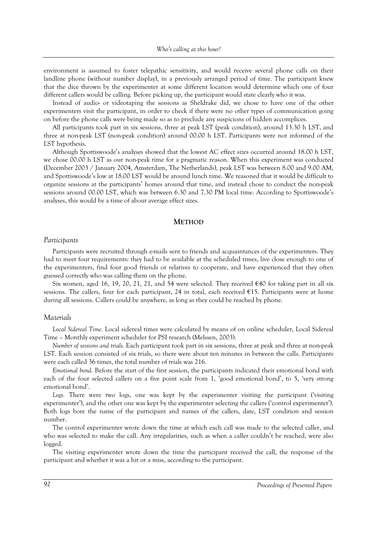environment is assumed to foster telepathic sensitivity, and would receive several phone calls on their landline phone (without number display), in a previously arranged period of time. The participant knew that the dice thrown by the experimenter at some different location would determine which one of four different callers would be calling. Before picking up, the participant would state clearly who it was.

Instead of audio- or videotaping the sessions as Sheldrake did, we chose to have one of the other experimenters visit the participant, in order to check if there were no other types of communication going on before the phone calls were being made so as to preclude any suspicions of hidden accomplices.

All participants took part in six sessions, three at peak LST (peak condition), around 13.30 h LST, and three at non-peak LST (non-peak condition) around 00.00 h LST. Participants were not informed of the LST hypothesis.

Although Spottiswoode's analyses showed that the lowest AC effect sizes occurred around 18.00 h LST, we chose 00.00 h LST as our non-peak time for a pragmatic reason. When this experiment was conducted (December 2003 / January 2004, Amsterdam, The Netherlands), peak LST was between 8.00 and 9.00 AM, and Spottiswoode's low at 18.00 LST would be around lunch time. We reasoned that it would be difficult to organize sessions at the participantsí homes around that time, and instead chose to conduct the non-peak sessions around 00.00 LST, which was between 6.30 and 7.30 PM local time. According to Spottiswoode's analyses, this would be a time of about average effect sizes.

# **METHOD**

## *Participants*

Participants were recruited through e-mails sent to friends and acquaintances of the experimenters. They had to meet four requirements: they had to be available at the scheduled times, live close enough to one of the experimenters, find four good friends or relatives to cooperate, and have experienced that they often guessed correctly who was calling them on the phone.

Six women, aged 16, 19, 20, 21, 21, and 54 were selected. They received  $\epsilon$ 40 for taking part in all six sessions. The callers, four for each participant, 24 in total, each received  $£15$ . Participants were at home during all sessions. Callers could be anywhere, as long as they could be reached by phone.

# *Materials*

*Local Sidereal Time.* Local sidereal times were calculated by means of on online scheduler, Local Sidereal Time – Monthly experiment scheduler for PSI research (Melssen, 2003).

*Number of sessions and trials.* Each participant took part in six sessions, three at peak and three at non-peak LST. Each session consisted of six trials, so there were about ten minutes in between the calls. Participants were each called 36 times, the total number of trials was 216.

*Emotional bond.* Before the start of the first session, the participants indicated their emotional bond with each of the four selected callers on a five point scale from 1, 'good emotional bond', to 5, 'very strong emotional bond'.

Logs. There were two logs, one was kept by the experimenter visiting the participant ('visiting experimenter'), and the other one was kept by the experimenter selecting the callers ('control experimenter'). Both logs bore the name of the participant and names of the callers, date, LST condition and session number.

The control experimenter wrote down the time at which each call was made to the selected caller, and who was selected to make the call. Any irregularities, such as when a caller couldn't be reached, were also logged.

The visiting experimenter wrote down the time the participant received the call, the response of the participant and whether it was a hit or a miss, according to the participant.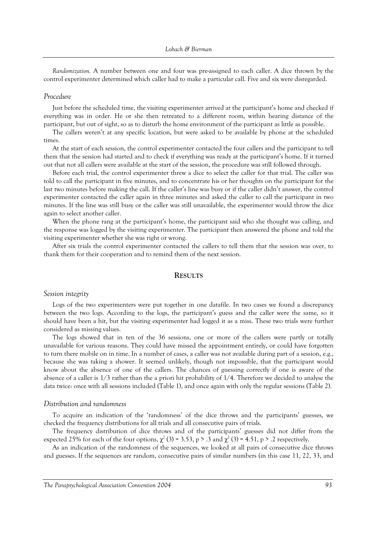*Randomization.* A number between one and four was pre-assigned to each caller. A dice thrown by the control experimenter determined which caller had to make a particular call. Five and six were disregarded.

#### *Procedure*

Just before the scheduled time, the visiting experimenter arrived at the participant's home and checked if everything was in order. He or she then retreated to a different room, within hearing distance of the participant, but out of sight, so as to disturb the home environment of the participant as little as possible.

The callers weren't at any specific location, but were asked to be available by phone at the scheduled times.

At the start of each session, the control experimenter contacted the four callers and the participant to tell them that the session had started and to check if everything was ready at the participant's home. If it turned out that not all callers were available at the start of the session, the procedure was still followed through.

Before each trial, the control experimenter threw a dice to select the caller for that trial. The caller was told to call the participant in five minutes, and to concentrate his or her thoughts on the participant for the last two minutes before making the call. If the caller's line was busy or if the caller didn't answer, the control experimenter contacted the caller again in three minutes and asked the caller to call the participant in two minutes. If the line was still busy or the caller was still unavailable, the experimenter would throw the dice again to select another caller.

When the phone rang at the participant's home, the participant said who she thought was calling, and the response was logged by the visiting experimenter. The participant then answered the phone and told the visiting experimenter whether she was right or wrong.

After six trials the control experimenter contacted the callers to tell them that the session was over, to thank them for their cooperation and to remind them of the next session.

## **RESULTS**

## *Session integrity*

Logs of the two experimenters were put together in one datafile. In two cases we found a discrepancy between the two logs. According to the logs, the participant's guess and the caller were the same, so it should have been a hit, but the visiting experimenter had logged it as a miss. These two trials were further considered as missing values.

The logs showed that in ten of the 36 sessions, one or more of the callers were partly or totally unavailable for various reasons. They could have missed the appointment entirely, or could have forgotten to turn there mobile on in time. In a number of cases, a caller was not available during part of a session, e.g., because she was taking a shower. It seemed unlikely, though not impossible, that the participant would know about the absence of one of the callers. The chances of guessing correctly if one is aware of the absence of a caller is 1/3 rather than the a priori hit probability of 1/4. Therefore we decided to analyse the data twice: once with all sessions included (Table 1), and once again with only the regular sessions (Table 2).

#### *Distribution and randomness*

To acquire an indication of the 'randomness' of the dice throws and the participants' guesses, we checked the frequency distributions for all trials and all consecutive pairs of trials.

The frequency distribution of dice throws and of the participantsí guesses did not differ from the expected 25% for each of the four options,  $\chi^2$  (3) = 3.53, p > .3 and  $\chi^2$  (3) = 4.51, p > .2 respectively.

As an indication of the randomness of the sequences, we looked at all pairs of consecutive dice throws and guesses. If the sequences are random, consecutive pairs of similar numbers (in this case 11, 22, 33, and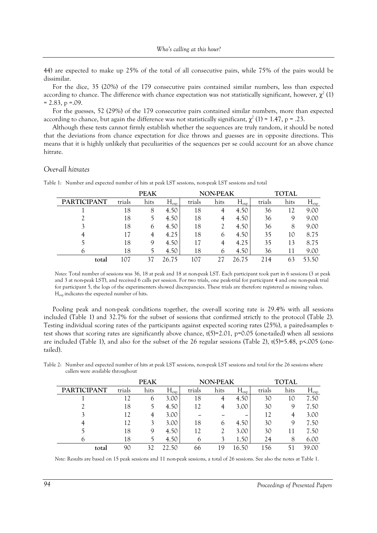44) are expected to make up 25% of the total of all consecutive pairs, while 75% of the pairs would be dissimilar.

For the dice, 35 (20%) of the 179 consecutive pairs contained similar numbers, less than expected according to chance. The difference with chance expectation was not statistically significant, however,  $\chi^2$  (1)  $= 2.83$ , p  $= .09$ .

For the guesses, 52 (29%) of the 179 consecutive pairs contained similar numbers, more than expected according to chance, but again the difference was not statistically significant,  $\chi^2$  (1) = 1.47, p = .23.

Although these tests cannot firmly establish whether the sequences are truly random, it should be noted that the deviations from chance expectation for dice throws and guesses are in opposite directions. This means that it is highly unlikely that peculiarities of the sequences per se could account for an above chance hitrate.

## *Over-all hitrates*

|                    |        | <b>PEAK</b> |                  |        | <b>NON-PEAK</b> |                  |        | <b>TOTAL</b> |                       |  |
|--------------------|--------|-------------|------------------|--------|-----------------|------------------|--------|--------------|-----------------------|--|
| <b>PARTICIPANT</b> | trials | hits        | $H_{\text{exp}}$ | trials | hits            | $H_{\text{exp}}$ | trials | hits         | $H_{\underline{exp}}$ |  |
|                    | 18     | 8           | 4.50             | 18     | 4               | 4.50             | 36     | 12           | 9.00                  |  |
|                    | 18     |             | 4.50             | 18     | 4               | 4.50             | 36     | Q            | 9.00                  |  |
|                    | 18     | O           | 4.50             | 18     |                 | 4.50             | 36     | 8            | 9.00                  |  |
|                    | 17     |             | 4.25             | 18     | O               | 4.50             | 35     | 10           | 8.75                  |  |
|                    | 18     | Q           | 4.50             | 17     | 4               | 4.25             | 35     | 13           | 8.75                  |  |
|                    | 18     |             | 4.50             | 18     |                 | 4.50             | 36     | 11           | 9.00                  |  |
| total              | 107    |             | ን6 75            | 107    |                 | 26.75            | 214    | 63           | 53.50                 |  |

Table 1: Number and expected number of hits at peak LST sessions, non-peak LST sessions and total

*Notes:* Total number of sessions was 36, 18 at peak and 18 at non-peak LST. Each participant took part in 6 sessions (3 at peak and 3 at non-peak LST), and received 6 calls per session. For two trials, one peak-trial for participant 4 and one non-peak trial for participant 5, the logs of the experimenters showed discrepancies. These trials are therefore registered as missing values. Hexp indicates the expected number of hits.

Pooling peak and non-peak conditions together, the over-all scoring rate is 29.4% with all sessions included (Table 1) and 32.7% for the subset of sessions that confirmed strictly to the protocol (Table 2). Testing individual scoring rates of the participants against expected scoring rates (25%), a paired-samples ttest shows that scoring rates are significantly above chance,  $t(5)=2.01$ ,  $p=0.05$  (one-tailed) when all sessions are included (Table 1), and also for the subset of the 26 regular sessions (Table 2),  $t(5)=5.48$ ,  $p<.005$  (onetailed).

Table 2: Number and expected number of hits at peak LST sessions, non-peak LST sessions and total for the 26 sessions where callers were available throughout

|                    | <b>PEAK</b> |      |           |        | <b>NON-PEAK</b> |                  | <b>TOTAL</b> |      |                  |
|--------------------|-------------|------|-----------|--------|-----------------|------------------|--------------|------|------------------|
| <b>PARTICIPANT</b> | trials      | hits | $H_{exp}$ | trials | hits            | $H_{\text{exp}}$ | trials       | hits | $H_{\text{exp}}$ |
|                    | 12          | O    | 3.00      | 18     |                 | 4.50             | 30           | 10   | 7.50             |
|                    | 18          |      | 4.50      | 12     |                 | 3.00             | 30           | Q    | 7.50             |
|                    | 12          |      | 3.00      | --     | --              | ۔                | 12           | 4    | 3.00             |
|                    | 12          |      | 3.00      | 18     | <sub>(</sub>    | 4.50             | 30           | Q    | 7.50             |
|                    | 18          | 9    | 4.50      | 12     |                 | 3.00             | 30           |      | 7.50             |
|                    | 18          |      | 4.50      | O      |                 | 1.50             | 24           | 8    | 6.00             |
| total              | 90          |      | 50        | 66     | q               | 50<br>$\sigma$   | 56           |      | 39.00            |

*Note: Results are based on 15 peak sessions and 11 non-peak sessions, a total of 26 sessions. See also the notes at Table 1.*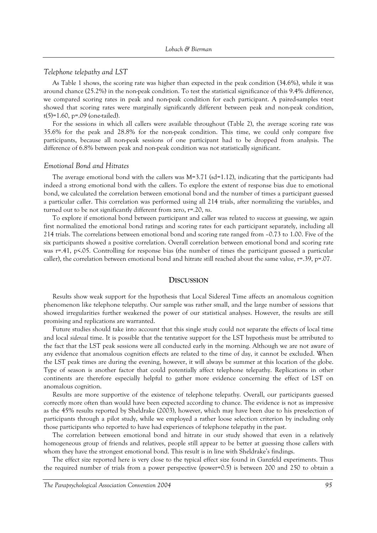#### *Telephone telepathy and LST*

As Table 1 shows, the scoring rate was higher than expected in the peak condition (34.6%), while it was around chance (25.2%) in the non-peak condition. To test the statistical significance of this 9.4% difference, we compared scoring rates in peak and non-peak condition for each participant. A paired-samples t-test showed that scoring rates were marginally significantly different between peak and non-peak condition,  $t(5)=1.60$ , p=.09 (one-tailed).

For the sessions in which all callers were available throughout (Table 2), the average scoring rate was 35.6% for the peak and 28.8% for the non-peak condition. This time, we could only compare five participants, because all non-peak sessions of one participant had to be dropped from analysis. The difference of 6.8% between peak and non-peak condition was not statistically significant.

#### *Emotional Bond and Hitrates*

The average emotional bond with the callers was  $M=3.71$  (sd=1.12), indicating that the participants had indeed a strong emotional bond with the callers. To explore the extent of response bias due to emotional bond, we calculated the correlation between emotional bond and the number of times a participant guessed a particular caller. This correlation was performed using all 214 trials, after normalizing the variables, and turned out to be not significantly different from zero, r=.20, *ns*.

To explore if emotional bond between participant and caller was related to success at guessing, we again first normalized the emotional bond ratings and scoring rates for each participant separately, including all 214 trials. The correlations between emotional bond and scoring rate ranged from  $-0.73$  to 1.00. Five of the six participants showed a positive correlation. Overall correlation between emotional bond and scoring rate was r=.41, p<.05. Controlling for response bias (the number of times the participant guessed a particular caller), the correlation between emotional bond and hitrate still reached about the same value, r=.39, p=.07.

# **DISCUSSION**

Results show weak support for the hypothesis that Local Sidereal Time affects an anomalous cognition phenomenon like telephone telepathy. Our sample was rather small, and the large number of sessions that showed irregularities further weakened the power of our statistical analyses. However, the results are still promising and replications are warranted.

Future studies should take into account that this single study could not separate the effects of local time and local *sidereal* time. It is possible that the tentative support for the LST hypothesis must be attributed to the fact that the LST peak sessions were all conducted early in the morning. Although we are not aware of any evidence that anomalous cognition effects are related to the time of day, it cannot be excluded. When the LST peak times are during the evening, however, it will always be summer at this location of the globe. Type of season is another factor that could potentially affect telephone telepathy. Replications in other continents are therefore especially helpful to gather more evidence concerning the effect of LST on anomalous cognition.

Results are more supportive of the existence of telephone telepathy. Overall, our participants guessed correctly more often than would have been expected according to chance. The evidence is not as impressive as the 45% results reported by Sheldrake (2003), however, which may have been due to his preselection of participants through a pilot study, while we employed a rather loose selection criterion by including only those participants who reported to have had experiences of telephone telepathy in the past.

The correlation between emotional bond and hitrate in our study showed that even in a relatively homogeneous group of friends and relatives, people still appear to be better at guessing those callers with whom they have the strongest emotional bond. This result is in line with Sheldrake's findings.

The effect size reported here is very close to the typical effect size found in Ganzfeld experiments. Thus the required number of trials from a power perspective (power=0.5) is between 200 and 250 to obtain a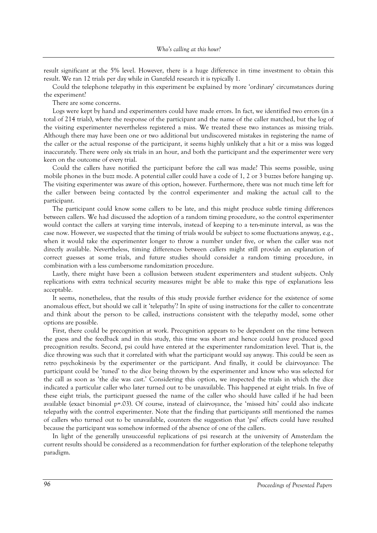result significant at the 5% level. However, there is a huge difference in time investment to obtain this result. We ran 12 trials per day while in Ganzfeld research it is typically 1.

Could the telephone telepathy in this experiment be explained by more 'ordinary' circumstances during the experiment?

There are some concerns.

Logs were kept by hand and experimenters could have made errors. In fact, we identified two errors (in a total of 214 trials), where the response of the participant and the name of the caller matched, but the log of the visiting experimenter nevertheless registered a miss. We treated these two instances as missing trials. Although there may have been one or two additional but undiscovered mistakes in registering the name of the caller or the actual response of the participant, it seems highly unlikely that a hit or a miss was logged inaccurately. There were only six trials in an hour, and both the participant and the experimenter were very keen on the outcome of every trial.

Could the callers have notified the participant before the call was made? This seems possible, using mobile phones in the buzz mode. A potential caller could have a code of 1, 2 or 3 buzzes before hanging up. The visiting experimenter was aware of this option, however. Furthermore, there was not much time left for the caller between being contacted by the control experimenter and making the actual call to the participant.

The participant could know some callers to be late, and this might produce subtle timing differences between callers. We had discussed the adoption of a random timing procedure, so the control experimenter would contact the callers at varying time intervals, instead of keeping to a ten-minute interval, as was the case now. However, we suspected that the timing of trials would be subject to some fluctuations anyway, e.g., when it would take the experimenter longer to throw a number under five, or when the caller was not directly available. Nevertheless, timing differences between callers might still provide an explanation of correct guesses at some trials, and future studies should consider a random timing procedure, in combination with a less cumbersome randomization procedure.

Lastly, there might have been a collusion between student experimenters and student subjects. Only replications with extra technical security measures might be able to make this type of explanations less acceptable.

It seems, nonetheless, that the results of this study provide further evidence for the existence of some anomalous effect, but should we call it 'telepathy'? In spite of using instructions for the caller to concentrate and think about the person to be called, instructions consistent with the telepathy model, some other options are possible.

First, there could be precognition at work. Precognition appears to be dependent on the time between the guess and the feedback and in this study, this time was short and hence could have produced good precognition results. Second, psi could have entered at the experimenter randomization level. That is, the dice throwing was such that it correlated with what the participant would say anyway. This could be seen as retro psychokinesis by the experimenter or the participant. And finally, it could be clairvoyance: The participant could be 'tuned' to the dice being thrown by the experimenter and know who was selected for the call as soon as 'the die was cast.' Considering this option, we inspected the trials in which the dice indicated a particular caller who later turned out to be unavailable. This happened at eight trials. In five of these eight trials, the participant guessed the name of the caller who should have called if he had been available (exact binomial p=.03). Of course, instead of clairvoyance, the 'missed hits' could also indicate telepathy with the control experimenter. Note that the finding that participants still mentioned the names of callers who turned out to be unavailable, counters the suggestion that ëpsií effects could have resulted because the participant was somehow informed of the absence of one of the callers.

In light of the generally unsuccessful replications of psi research at the university of Amsterdam the current results should be considered as a recommendation for further exploration of the telephone telepathy paradigm.